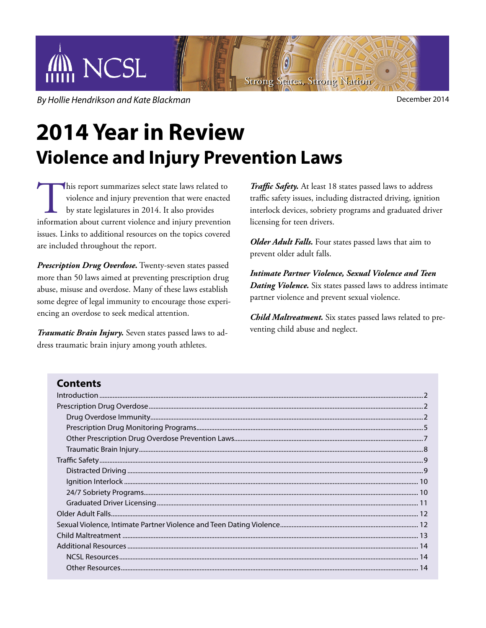

**By Hollie Hendrikson and Kate Blackman** december 2014

# **2014 Year in Review Violence and Injury Prevention Laws**

This report summarizes select state laws related to violence and injury prevention that were enacted by state legislatures in 2014. It also provides information about current violence and injury prevention violence and injury prevention that were enacted by state legislatures in 2014. It also provides issues. Links to additional resources on the topics covered are included throughout the report.

*Prescription Drug Overdose.* Twenty-seven states passed more than 50 laws aimed at preventing prescription drug abuse, misuse and overdose. Many of these laws establish some degree of legal immunity to encourage those experiencing an overdose to seek medical attention.

*Traumatic Brain Injury.* Seven states passed laws to address traumatic brain injury among youth athletes.

*Traffic Safety.* At least 18 states passed laws to address traffic safety issues, including distracted driving, ignition interlock devices, sobriety programs and graduated driver licensing for teen drivers.

*Older Adult Falls.* Four states passed laws that aim to prevent older adult falls.

*Intimate Partner Violence, Sexual Violence and Teen Dating Violence.* Six states passed laws to address intimate partner violence and prevent sexual violence.

*Child Maltreatment.* Six states passed laws related to preventing child abuse and neglect.

## **Contents**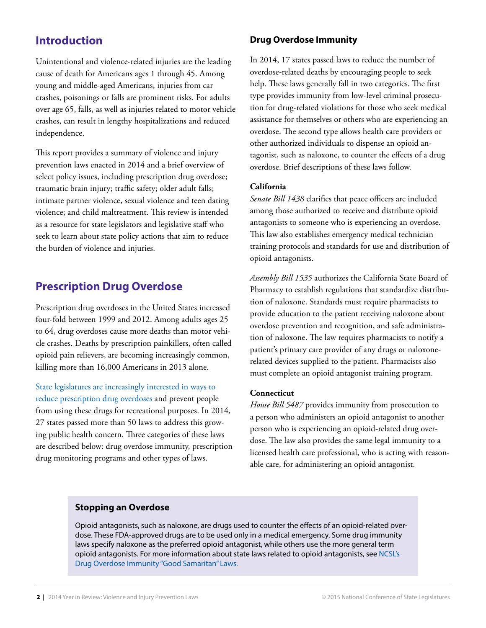## **Introduction**

Unintentional and violence-related injuries are the leading cause of death for Americans ages 1 through 45. Among young and middle-aged Americans, injuries from car crashes, poisonings or falls are prominent risks. For adults over age 65, falls, as well as injuries related to motor vehicle crashes, can result in lengthy hospitalizations and reduced independence.

This report provides a summary of violence and injury prevention laws enacted in 2014 and a brief overview of select policy issues, including prescription drug overdose; traumatic brain injury; traffic safety; older adult falls; intimate partner violence, sexual violence and teen dating violence; and child maltreatment. This review is intended as a resource for state legislators and legislative staff who seek to learn about state policy actions that aim to reduce the burden of violence and injuries.

## **Prescription Drug Overdose**

Prescription drug overdoses in the United States increased four-fold between 1999 and 2012. Among adults ages 25 to 64, drug overdoses cause more deaths than motor vehicle crashes. Deaths by prescription painkillers, often called opioid pain relievers, are becoming increasingly common, killing more than 16,000 Americans in 2013 alone.

[State legislatures are increasingly interested in ways to](http://www.ncsl.org/Default.aspx?tabid=13853)  [reduce prescription drug overdoses](http://www.ncsl.org/Default.aspx?tabid=13853) and prevent people from using these drugs for recreational purposes. In 2014, 27 states passed more than 50 laws to address this growing public health concern. Three categories of these laws are described below: drug overdose immunity, prescription drug monitoring programs and other types of laws.

#### **Drug Overdose Immunity**

In 2014, 17 states passed laws to reduce the number of overdose-related deaths by encouraging people to seek help. These laws generally fall in two categories. The first type provides immunity from low-level criminal prosecution for drug-related violations for those who seek medical assistance for themselves or others who are experiencing an overdose. The second type allows health care providers or other authorized individuals to dispense an opioid antagonist, such as naloxone, to counter the effects of a drug overdose. Brief descriptions of these laws follow.

#### **California**

*Senate Bill 1438* clarifies that peace officers are included among those authorized to receive and distribute opioid antagonists to someone who is experiencing an overdose. This law also establishes emergency medical technician training protocols and standards for use and distribution of opioid antagonists.

*Assembly Bill 1535* authorizes the California State Board of Pharmacy to establish regulations that standardize distribution of naloxone. Standards must require pharmacists to provide education to the patient receiving naloxone about overdose prevention and recognition, and safe administration of naloxone. The law requires pharmacists to notify a patient's primary care provider of any drugs or naloxonerelated devices supplied to the patient. Pharmacists also must complete an opioid antagonist training program.

#### **Connecticut**

*House Bill 5487* provides immunity from prosecution to a person who administers an opioid antagonist to another person who is experiencing an opioid-related drug overdose. The law also provides the same legal immunity to a licensed health care professional, who is acting with reasonable care, for administering an opioid antagonist.

#### **Stopping an Overdose**

Opioid antagonists, such as naloxone, are drugs used to counter the effects of an opioid-related overdose. These FDA-approved drugs are to be used only in a medical emergency. Some drug immunity laws specify naloxone as the preferred opioid antagonist, while others use the more general term opioid antagonists. For more information about state laws related to opioid antagonists, see [NCSL's](http://www.ncsl.org/Default.aspx?tabid=27756)  [Drug Overdose Immunity "Good Samaritan" Laws.](http://www.ncsl.org/Default.aspx?tabid=27756)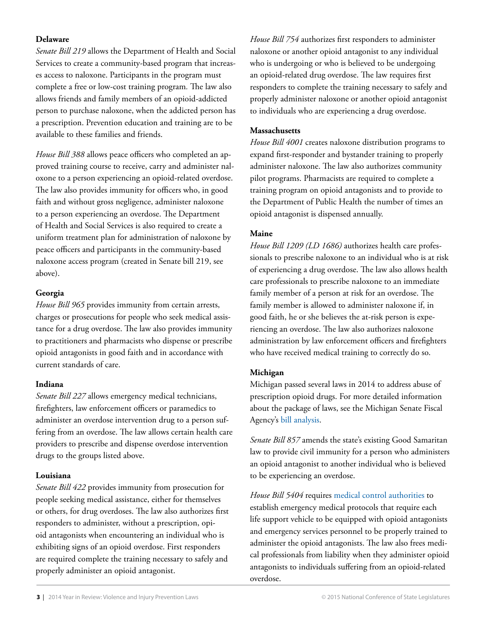#### **Delaware**

*Senate Bill 219* allows the Department of Health and Social Services to create a community-based program that increases access to naloxone. Participants in the program must complete a free or low-cost training program*.* The law also allows friends and family members of an opioid-addicted person to purchase naloxone, when the addicted person has a prescription. Prevention education and training are to be available to these families and friends.

*House Bill 388* allows peace officers who completed an approved training course to receive, carry and administer naloxone to a person experiencing an opioid-related overdose. The law also provides immunity for officers who, in good faith and without gross negligence, administer naloxone to a person experiencing an overdose. The Department of Health and Social Services is also required to create a uniform treatment plan for administration of naloxone by peace officers and participants in the community-based naloxone access program (created in Senate bill 219, see above).

#### **Georgia**

*House Bill 965* provides immunity from certain arrests, charges or prosecutions for people who seek medical assistance for a drug overdose. The law also provides immunity to practitioners and pharmacists who dispense or prescribe opioid antagonists in good faith and in accordance with current standards of care.

#### **Indiana**

*Senate Bill 227* allows emergency medical technicians, firefighters, law enforcement officers or paramedics to administer an overdose intervention drug to a person suffering from an overdose. The law allows certain health care providers to prescribe and dispense overdose intervention drugs to the groups listed above.

#### **Louisiana**

*Senate Bill 422* provides immunity from prosecution for people seeking medical assistance, either for themselves or others, for drug overdoses. The law also authorizes first responders to administer, without a prescription, opioid antagonists when encountering an individual who is exhibiting signs of an opioid overdose. First responders are required complete the training necessary to safely and properly administer an opioid antagonist.

*House Bill 754* authorizes first responders to administer naloxone or another opioid antagonist to any individual who is undergoing or who is believed to be undergoing an opioid-related drug overdose. The law requires first responders to complete the training necessary to safely and properly administer naloxone or another opioid antagonist to individuals who are experiencing a drug overdose.

#### **Massachusetts**

*House Bill 4001* creates naloxone distribution programs to expand first-responder and bystander training to properly administer naloxone. The law also authorizes community pilot programs. Pharmacists are required to complete a training program on opioid antagonists and to provide to the Department of Public Health the number of times an opioid antagonist is dispensed annually.

#### **Maine**

*House Bill 1209 (LD 1686)* authorizes health care professionals to prescribe naloxone to an individual who is at risk of experiencing a drug overdose. The law also allows health care professionals to prescribe naloxone to an immediate family member of a person at risk for an overdose. The family member is allowed to administer naloxone if, in good faith, he or she believes the at-risk person is experiencing an overdose. The law also authorizes naloxone administration by law enforcement officers and firefighters who have received medical training to correctly do so.

#### **Michigan**

Michigan passed several laws in 2014 to address abuse of prescription opioid drugs. For more detailed information about the package of laws, see the Michigan Senate Fiscal Agency's [bill analysis](http://www.legislature.mi.gov/documents/2013-2014/billanalysis/Senate/htm/2013-SFA-5404-F.htm).

*Senate Bill 857* amends the state's existing Good Samaritan law to provide civil immunity for a person who administers an opioid antagonist to another individual who is believed to be experiencing an overdose.

*House Bill 5404* requires [medical control authorities](http://www.michigan.gov/mdch/0,4612,7-132-2946_5093_28508-132260--,00.html) to establish emergency medical protocols that require each life support vehicle to be equipped with opioid antagonists and emergency services personnel to be properly trained to administer the opioid antagonists. The law also frees medical professionals from liability when they administer opioid antagonists to individuals suffering from an opioid-related overdose.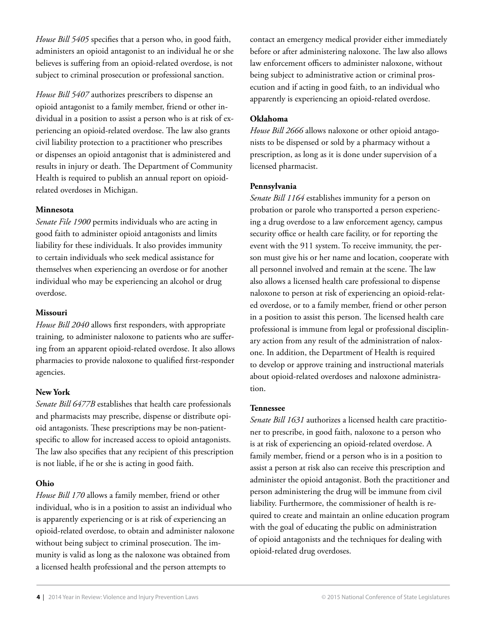*House Bill 5405* specifies that a person who, in good faith, administers an opioid antagonist to an individual he or she believes is suffering from an opioid-related overdose, is not subject to criminal prosecution or professional sanction.

*House Bill 5407* authorizes prescribers to dispense an opioid antagonist to a family member, friend or other individual in a position to assist a person who is at risk of experiencing an opioid-related overdose. The law also grants civil liability protection to a practitioner who prescribes or dispenses an opioid antagonist that is administered and results in injury or death. The Department of Community Health is required to publish an annual report on opioidrelated overdoses in Michigan.

#### **Minnesota**

*Senate File 1900* permits individuals who are acting in good faith to administer opioid antagonists and limits liability for these individuals. It also provides immunity to certain individuals who seek medical assistance for themselves when experiencing an overdose or for another individual who may be experiencing an alcohol or drug overdose.

#### **Missouri**

*House Bill 2040* allows first responders, with appropriate training*,* to administer naloxone to patients who are suffering from an apparent opioid-related overdose. It also allows pharmacies to provide naloxone to qualified first-responder agencies.

#### **New York**

*Senate Bill 6477B* establishes that health care professionals and pharmacists may prescribe, dispense or distribute opioid antagonists. These prescriptions may be non-patientspecific to allow for increased access to opioid antagonists. The law also specifies that any recipient of this prescription is not liable, if he or she is acting in good faith.

#### **Ohio**

*House Bill 170* allows a family member, friend or other individual, who is in a position to assist an individual who is apparently experiencing or is at risk of experiencing an opioid-related overdose, to obtain and administer naloxone without being subject to criminal prosecution. The immunity is valid as long as the naloxone was obtained from a licensed health professional and the person attempts to

contact an emergency medical provider either immediately before or after administering naloxone. The law also allows law enforcement officers to administer naloxone, without being subject to administrative action or criminal prosecution and if acting in good faith, to an individual who apparently is experiencing an opioid-related overdose.

#### **Oklahoma**

*House Bill 2666* allows naloxone or other opioid antagonists to be dispensed or sold by a pharmacy without a prescription, as long as it is done under supervision of a licensed pharmacist.

#### **Pennsylvania**

*Senate Bill 1164* establishes immunity for a person on probation or parole who transported a person experiencing a drug overdose to a law enforcement agency, campus security office or health care facility, or for reporting the event with the 911 system. To receive immunity, the person must give his or her name and location, cooperate with all personnel involved and remain at the scene. The law also allows a licensed health care professional to dispense naloxone to person at risk of experiencing an opioid-related overdose, or to a family member, friend or other person in a position to assist this person. The licensed health care professional is immune from legal or professional disciplinary action from any result of the administration of naloxone. In addition, the Department of Health is required to develop or approve training and instructional materials about opioid-related overdoses and naloxone administration.

#### **Tennessee**

*Senate Bill 1631* authorizes a licensed health care practitioner to prescribe, in good faith, naloxone to a person who is at risk of experiencing an opioid-related overdose. A family member, friend or a person who is in a position to assist a person at risk also can receive this prescription and administer the opioid antagonist. Both the practitioner and person administering the drug will be immune from civil liability. Furthermore, the commissioner of health is required to create and maintain an online education program with the goal of educating the public on administration of opioid antagonists and the techniques for dealing with opioid-related drug overdoses.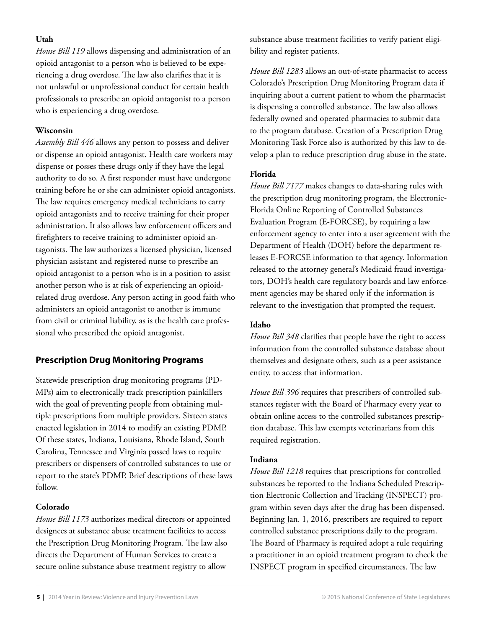#### **Utah**

*House Bill 119* allows dispensing and administration of an opioid antagonist to a person who is believed to be experiencing a drug overdose. The law also clarifies that it is not unlawful or unprofessional conduct for certain health professionals to prescribe an opioid antagonist to a person who is experiencing a drug overdose.

#### **Wisconsin**

*Assembly Bill 446* allows any person to possess and deliver or dispense an opioid antagonist. Health care workers may dispense or posses these drugs only if they have the legal authority to do so. A first responder must have undergone training before he or she can administer opioid antagonists. The law requires emergency medical technicians to carry opioid antagonists and to receive training for their proper administration. It also allows law enforcement officers and firefighters to receive training to administer opioid antagonists. The law authorizes a licensed physician, licensed physician assistant and registered nurse to prescribe an opioid antagonist to a person who is in a position to assist another person who is at risk of experiencing an opioidrelated drug overdose. Any person acting in good faith who administers an opioid antagonist to another is immune from civil or criminal liability, as is the health care professional who prescribed the opioid antagonist.

## **Prescription Drug Monitoring Programs**

Statewide prescription drug monitoring programs (PD-MPs) aim to electronically track prescription painkillers with the goal of preventing people from obtaining multiple prescriptions from multiple providers. Sixteen states enacted legislation in 2014 to modify an existing PDMP. Of these states, Indiana, Louisiana, Rhode Island, South Carolina, Tennessee and Virginia passed laws to require prescribers or dispensers of controlled substances to use or report to the state's PDMP. Brief descriptions of these laws follow.

#### **Colorado**

*House Bill 1173* authorizes medical directors or appointed designees at substance abuse treatment facilities to access the Prescription Drug Monitoring Program. The law also directs the Department of Human Services to create a secure online substance abuse treatment registry to allow

substance abuse treatment facilities to verify patient eligibility and register patients.

*House Bill 1283* allows an out-of-state pharmacist to access Colorado's Prescription Drug Monitoring Program data if inquiring about a current patient to whom the pharmacist is dispensing a controlled substance. The law also allows federally owned and operated pharmacies to submit data to the program database. Creation of a Prescription Drug Monitoring Task Force also is authorized by this law to develop a plan to reduce prescription drug abuse in the state.

#### **Florida**

*House Bill 7177* makes changes to data-sharing rules with the prescription drug monitoring program, the Electronic-Florida Online Reporting of Controlled Substances Evaluation Program (E-FORCSE), by requiring a law enforcement agency to enter into a user agreement with the Department of Health (DOH) before the department releases E-FORCSE information to that agency. Information released to the attorney general's Medicaid fraud investigators, DOH's health care regulatory boards and law enforcement agencies may be shared only if the information is relevant to the investigation that prompted the request.

#### **Idaho**

*House Bill 348* clarifies that people have the right to access information from the controlled substance database about themselves and designate others, such as a peer assistance entity, to access that information.

*House Bill 396* requires that prescribers of controlled substances register with the Board of Pharmacy every year to obtain online access to the controlled substances prescription database. This law exempts veterinarians from this required registration.

#### **Indiana**

*House Bill 1218* requires that prescriptions for controlled substances be reported to the Indiana Scheduled Prescription Electronic Collection and Tracking (INSPECT) program within seven days after the drug has been dispensed. Beginning Jan. 1, 2016, prescribers are required to report controlled substance prescriptions daily to the program. The Board of Pharmacy is required adopt a rule requiring a practitioner in an opioid treatment program to check the INSPECT program in specified circumstances. The law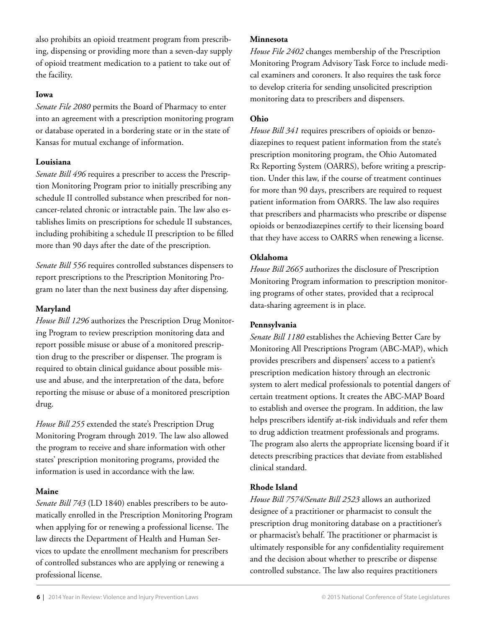also prohibits an opioid treatment program from prescribing, dispensing or providing more than a seven-day supply of opioid treatment medication to a patient to take out of the facility.

#### **Iowa**

*Senate File 2080* permits the Board of Pharmacy to enter into an agreement with a prescription monitoring program or database operated in a bordering state or in the state of Kansas for mutual exchange of information.

#### **Louisiana**

*Senate Bill 496* requires a prescriber to access the Prescription Monitoring Program prior to initially prescribing any schedule II controlled substance when prescribed for noncancer-related chronic or intractable pain. The law also establishes limits on prescriptions for schedule II substances, including prohibiting a schedule II prescription to be filled more than 90 days after the date of the prescription*.*

*Senate Bill 556* requires controlled substances dispensers to report prescriptions to the Prescription Monitoring Program no later than the next business day after dispensing.

#### **Maryland**

*House Bill 1296* authorizes the Prescription Drug Monitoring Program to review prescription monitoring data and report possible misuse or abuse of a monitored prescription drug to the prescriber or dispenser. The program is required to obtain clinical guidance about possible misuse and abuse, and the interpretation of the data, before reporting the misuse or abuse of a monitored prescription drug.

*House Bill 255* extended the state's Prescription Drug Monitoring Program through 2019. The law also allowed the program to receive and share information with other states' prescription monitoring programs, provided the information is used in accordance with the law.

#### **Maine**

*Senate Bill 743* (LD 1840) enables prescribers to be automatically enrolled in the Prescription Monitoring Program when applying for or renewing a professional license. The law directs the Department of Health and Human Services to update the enrollment mechanism for prescribers of controlled substances who are applying or renewing a professional license.

#### **Minnesota**

*House File 2402* changes membership of the Prescription Monitoring Program Advisory Task Force to include medical examiners and coroners. It also requires the task force to develop criteria for sending unsolicited prescription monitoring data to prescribers and dispensers.

#### **Ohio**

*House Bill 341* requires prescribers of opioids or benzodiazepines to request patient information from the state's prescription monitoring program, the Ohio Automated Rx Reporting System (OARRS), before writing a prescription. Under this law, if the course of treatment continues for more than 90 days, prescribers are required to request patient information from OARRS. The law also requires that prescribers and pharmacists who prescribe or dispense opioids or benzodiazepines certify to their licensing board that they have access to OARRS when renewing a license.

#### **Oklahoma**

*House Bill 2665* authorizes the disclosure of Prescription Monitoring Program information to prescription monitoring programs of other states, provided that a reciprocal data-sharing agreement is in place.

#### **Pennsylvania**

*Senate Bill 1180* establishes the Achieving Better Care by Monitoring All Prescriptions Program (ABC-MAP), which provides prescribers and dispensers' access to a patient's prescription medication history through an electronic system to alert medical professionals to potential dangers of certain treatment options. It creates the ABC-MAP Board to establish and oversee the program. In addition, the law helps prescribers identify at-risk individuals and refer them to drug addiction treatment professionals and programs. The program also alerts the appropriate licensing board if it detects prescribing practices that deviate from established clinical standard.

#### **Rhode Island**

*House Bill 7574/Senate Bill 2523* allows an authorized designee of a practitioner or pharmacist to consult the prescription drug monitoring database on a practitioner's or pharmacist's behalf. The practitioner or pharmacist is ultimately responsible for any confidentiality requirement and the decision about whether to prescribe or dispense controlled substance. The law also requires practitioners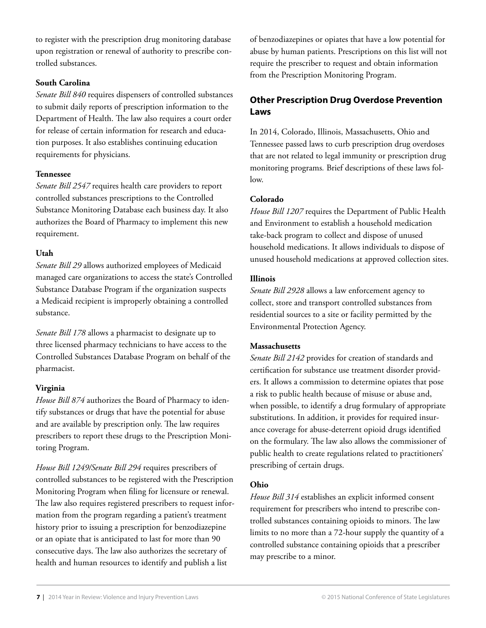to register with the prescription drug monitoring database upon registration or renewal of authority to prescribe controlled substances.

#### **South Carolina**

*Senate Bill 840* requires dispensers of controlled substances to submit daily reports of prescription information to the Department of Health. The law also requires a court order for release of certain information for research and education purposes. It also establishes continuing education requirements for physicians.

#### **Tennessee**

*Senate Bill 2547* requires health care providers to report controlled substances prescriptions to the Controlled Substance Monitoring Database each business day. It also authorizes the Board of Pharmacy to implement this new requirement.

#### **Utah**

*Senate Bill 29* allows authorized employees of Medicaid managed care organizations to access the state's Controlled Substance Database Program if the organization suspects a Medicaid recipient is improperly obtaining a controlled substance.

*Senate Bill 178* allows a pharmacist to designate up to three licensed pharmacy technicians to have access to the Controlled Substances Database Program on behalf of the pharmacist.

#### **Virginia**

*House Bill 874* authorizes the Board of Pharmacy to identify substances or drugs that have the potential for abuse and are available by prescription only. The law requires prescribers to report these drugs to the Prescription Monitoring Program.

*House Bill 1249/Senate Bill 294* requires prescribers of controlled substances to be registered with the Prescription Monitoring Program when filing for licensure or renewal. The law also requires registered prescribers to request information from the program regarding a patient's treatment history prior to issuing a prescription for benzodiazepine or an opiate that is anticipated to last for more than 90 consecutive days. The law also authorizes the secretary of health and human resources to identify and publish a list

of benzodiazepines or opiates that have a low potential for abuse by human patients. Prescriptions on this list will not require the prescriber to request and obtain information from the Prescription Monitoring Program.

## **Other Prescription Drug Overdose Prevention Laws**

In 2014, Colorado, Illinois, Massachusetts, Ohio and Tennessee passed laws to curb prescription drug overdoses that are not related to legal immunity or prescription drug monitoring programs*.* Brief descriptions of these laws follow.

#### **Colorado**

*House Bill 1207* requires the Department of Public Health and Environment to establish a household medication take-back program to collect and dispose of unused household medications. It allows individuals to dispose of unused household medications at approved collection sites.

#### **Illinois**

*Senate Bill 2928* allows a law enforcement agency to collect, store and transport controlled substances from residential sources to a site or facility permitted by the Environmental Protection Agency.

#### **Massachusetts**

*Senate Bill 2142* provides for creation of standards and certification for substance use treatment disorder providers. It allows a commission to determine opiates that pose a risk to public health because of misuse or abuse and, when possible, to identify a drug formulary of appropriate substitutions. In addition, it provides for required insurance coverage for abuse-deterrent opioid drugs identified on the formulary. The law also allows the commissioner of public health to create regulations related to practitioners' prescribing of certain drugs.

#### **Ohio**

*House Bill 314* establishes an explicit informed consent requirement for prescribers who intend to prescribe controlled substances containing opioids to minors. The law limits to no more than a 72-hour supply the quantity of a controlled substance containing opioids that a prescriber may prescribe to a minor.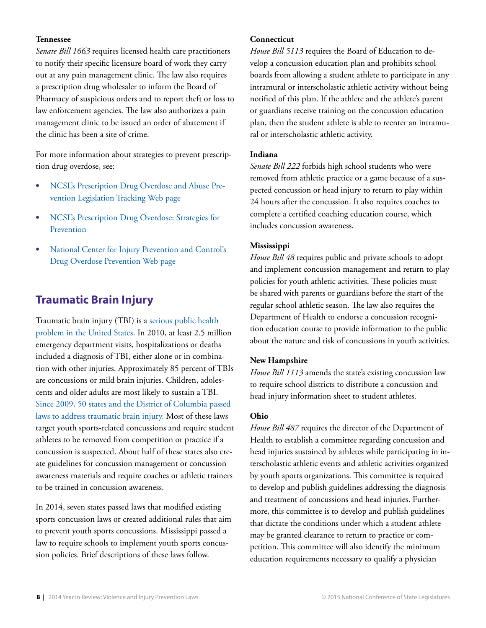#### **Tennessee**

*Senate Bill 1663* requires licensed health care practitioners to notify their specific licensure board of work they carry out at any pain management clinic. The law also requires a prescription drug wholesaler to inform the Board of Pharmacy of suspicious orders and to report theft or loss to law enforcement agencies. The law also authorizes a pain management clinic to be issued an order of abatement if the clinic has been a site of crime.

For more information about strategies to prevent prescription drug overdose, see:

- **•**  [NCSL's Prescription Drug Overdose and Abuse Pre](http://www.ncsl.org/Default.aspx?TabId=13853)[vention Legislation Tracking Web page](http://www.ncsl.org/Default.aspx?TabId=13853)
- **NCSL's Prescription Drug Overdose: Strategies for** [Prevention](http://www.ncsl.org/default.aspx?tabid=28314)
- **National Center for Injury Prevention and Control's** [Drug Overdose Prevention Web page](http://www.cdc.gov/homeandrecreationalsafety/overdose/index.html)

# **Traumatic Brain Injury**

Traumatic brain injury (TBI) is a [serious public health](http://www.cdc.gov/injury/about/focus-tbi.html)  [problem in the United States.](http://www.cdc.gov/injury/about/focus-tbi.html) In 2010, at least 2.5 million emergency department visits, hospitalizations or deaths included a diagnosis of TBI, either alone or in combination with other injuries. Approximately 85 percent of TBIs are concussions or mild brain injuries. Children, adolescents and older adults are most likely to sustain a TBI. [Since 2009, 50 states and the District of Columbia passed](http://www.ncsl.org/default.aspx?tabid=18687)  [laws to address traumatic brain injury.](http://www.ncsl.org/default.aspx?tabid=18687) Most of these laws target youth sports-related concussions and require student athletes to be removed from competition or practice if a concussion is suspected. About half of these states also create guidelines for concussion management or concussion awareness materials and require coaches or athletic trainers to be trained in concussion awareness.

In 2014, seven states passed laws that modified existing sports concussion laws or created additional rules that aim to prevent youth sports concussions. Mississippi passed a law to require schools to implement youth sports concussion policies. Brief descriptions of these laws follow.

#### **Connecticut**

*House Bill 5113* requires the Board of Education to develop a concussion education plan and prohibits school boards from allowing a student athlete to participate in any intramural or interscholastic athletic activity without being notified of this plan. If the athlete and the athlete's parent or guardians receive training on the concussion education plan, then the student athlete is able to reenter an intramural or interscholastic athletic activity.

#### **Indiana**

*Senate Bill 222* forbids high school students who were removed from athletic practice or a game because of a suspected concussion or head injury to return to play within 24 hours after the concussion. It also requires coaches to complete a certified coaching education course, which includes concussion awareness.

#### **Mississippi**

*House Bill 48* requires public and private schools to adopt and implement concussion management and return to play policies for youth athletic activities. These policies must be shared with parents or guardians before the start of the regular school athletic season. The law also requires the Department of Health to endorse a concussion recognition education course to provide information to the public about the nature and risk of concussions in youth activities.

#### **New Hampshire**

*House Bill 1113* amends the state's existing concussion law to require school districts to distribute a concussion and head injury information sheet to student athletes.

#### **Ohio**

*House Bill 487* requires the director of the Department of Health to establish a committee regarding concussion and head injuries sustained by athletes while participating in interscholastic athletic events and athletic activities organized by youth sports organizations. This committee is required to develop and publish guidelines addressing the diagnosis and treatment of concussions and head injuries. Furthermore, this committee is to develop and publish guidelines that dictate the conditions under which a student athlete may be granted clearance to return to practice or competition. This committee will also identify the minimum education requirements necessary to qualify a physician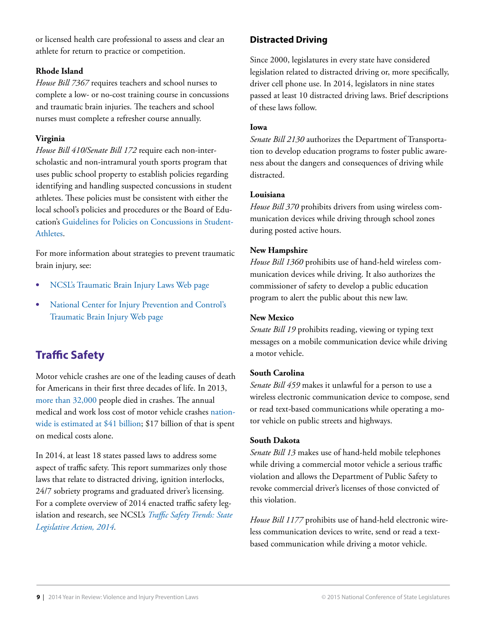or licensed health care professional to assess and clear an athlete for return to practice or competition.

#### **Rhode Island**

*House Bill 7367* requires teachers and school nurses to complete a low- or no-cost training course in concussions and traumatic brain injuries. The teachers and school nurses must complete a refresher course annually.

#### **Virginia**

*House Bill 410/Senate Bill 172* require each non-interscholastic and non-intramural youth sports program that uses public school property to establish policies regarding identifying and handling suspected concussions in student athletes. These policies must be consistent with either the local school's policies and procedures or the Board of Education's [Guidelines for Policies on Concussions in Student-](http://www.doe.virginia.gov/boe/guidance/health/concussions_in_student_athletes.pdf)**[Athletes](http://www.doe.virginia.gov/boe/guidance/health/concussions_in_student_athletes.pdf)** 

For more information about strategies to prevent traumatic brain injury, see:

- **[NCSL's Traumatic Brain Injury Laws Web page](http://www.ncsl.org/Default.aspx?TabId=18687)**
- National Center for Injury Prevention and Control's [Traumatic Brain Injury Web page](http://www.cdc.gov/traumaticbraininjury/)

# **Traffic Safety**

Motor vehicle crashes are one of the leading causes of death for Americans in their first three decades of life. In 2013, [more than 32,000](http://www-nrd.nhtsa.dot.gov/Pubs/812100.pdf) people died in crashes. The annual medical and work loss cost of motor vehicle crashes [nation](http://www.cdc.gov/Motorvehiclesafety/statecosts/index.html)[wide is estimated at \\$41 billion](http://www.cdc.gov/Motorvehiclesafety/statecosts/index.html); \$17 billion of that is spent on medical costs alone.

In 2014, at least 18 states passed laws to address some aspect of traffic safety. This report summarizes only those laws that relate to distracted driving, ignition interlocks, 24/7 sobriety programs and graduated driver's licensing. For a complete overview of 2014 enacted traffic safety legislation and research, see NCSL's *[Traffic Safety Trends: State](http://www.ncsl.org/research/transportation/traffic-safety-trends-state-legislative-action-2014.aspx)  [Legislative Action, 2014.](http://www.ncsl.org/research/transportation/traffic-safety-trends-state-legislative-action-2014.aspx)*

## **[Distracted Driving](http://www.cdc.gov/Motorvehiclesafety/Distracted_Driving/index.html)**

Since 2000, legislatures in every state have considered legislation related to distracted driving or, more specifically, driver cell phone use. In 2014, legislators in nine states passed at least 10 distracted driving laws. Brief descriptions of these laws follow.

#### **Iowa**

*Senate Bill 2130* authorizes the Department of Transportation to develop education programs to foster public awareness about the dangers and consequences of driving while distracted.

#### **Louisiana**

*House Bill 370* prohibits drivers from using wireless communication devices while driving through school zones during posted active hours.

#### **New Hampshire**

*House Bill 1360* prohibits use of hand-held wireless communication devices while driving. It also authorizes the commissioner of safety to develop a public education program to alert the public about this new law.

#### **New Mexico**

*Senate Bill 19* prohibits reading, viewing or typing text messages on a mobile communication device while driving a motor vehicle.

#### **South Carolina**

*Senate Bill 459* makes it unlawful for a person to use a wireless electronic communication device to compose, send or read text-based communications while operating a motor vehicle on public streets and highways.

#### **South Dakota**

*Senate Bill 13* makes use of hand-held mobile telephones while driving a commercial motor vehicle a serious traffic violation and allows the Department of Public Safety to revoke commercial driver's licenses of those convicted of this violation.

*House Bill 1177* prohibits use of hand-held electronic wireless communication devices to write, send or read a textbased communication while driving a motor vehicle.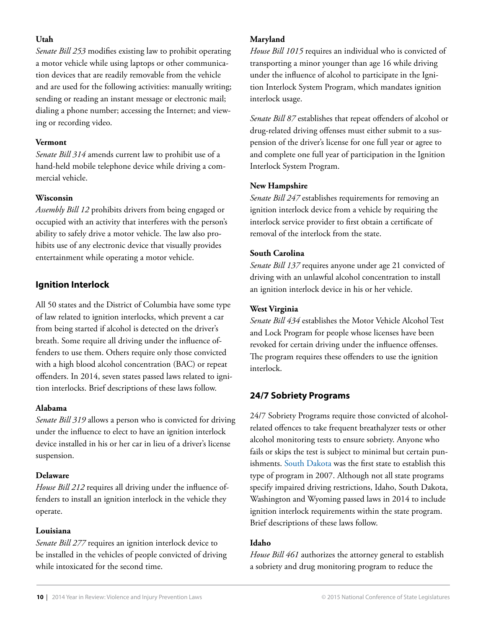#### **Utah**

*Senate Bill 253* modifies existing law to prohibit operating a motor vehicle while using laptops or other communication devices that are readily removable from the vehicle and are used for the following activities: manually writing; sending or reading an instant message or electronic mail; dialing a phone number; accessing the Internet; and viewing or recording video.

#### **Vermont**

*Senate Bill 314* amends current law to prohibit use of a hand-held mobile telephone device while driving a commercial vehicle.

#### **Wisconsin**

*Assembly Bill 12* prohibits drivers from being engaged or occupied with an activity that interferes with the person's ability to safely drive a motor vehicle. The law also prohibits use of any electronic device that visually provides entertainment while operating a motor vehicle.

#### **[Ignition Interlock](http://www.cdc.gov/motorvehiclesafety/impaired_driving/index.html)**

All 50 states and the District of Columbia have some type of law related to ignition interlocks, which prevent a car from being started if alcohol is detected on the driver's breath. Some require all driving under the influence offenders to use them. Others require only those convicted with a high blood alcohol concentration (BAC) or repeat offenders. In 2014, seven states passed laws related to ignition interlocks. Brief descriptions of these laws follow.

#### **Alabama**

*Senate Bill 319* allows a person who is convicted for driving under the influence to elect to have an ignition interlock device installed in his or her car in lieu of a driver's license suspension.

#### **Delaware**

*House Bill 212* requires all driving under the influence offenders to install an ignition interlock in the vehicle they operate.

#### **Louisiana**

*Senate Bill 277* requires an ignition interlock device to be installed in the vehicles of people convicted of driving while intoxicated for the second time.

#### **Maryland**

*House Bill 1015* requires an individual who is convicted of transporting a minor younger than age 16 while driving under the influence of alcohol to participate in the Ignition Interlock System Program, which mandates ignition interlock usage.

*Senate Bill 87* establishes that repeat offenders of alcohol or drug-related driving offenses must either submit to a suspension of the driver's license for one full year or agree to and complete one full year of participation in the Ignition Interlock System Program.

#### **New Hampshire**

*Senate Bill 247* establishes requirements for removing an ignition interlock device from a vehicle by requiring the interlock service provider to first obtain a certificate of removal of the interlock from the state.

#### **South Carolina**

*Senate Bill 137* requires anyone under age 21 convicted of driving with an unlawful alcohol concentration to install an ignition interlock device in his or her vehicle.

#### **West Virginia**

*Senate Bill 434* establishes the Motor Vehicle Alcohol Test and Lock Program for people whose licenses have been revoked for certain driving under the influence offenses. The program requires these offenders to use the ignition interlock.

## **24/7 Sobriety Programs**

24/7 Sobriety Programs require those convicted of alcoholrelated offences to take frequent breathalyzer tests or other alcohol monitoring tests to ensure sobriety. Anyone who fails or skips the test is subject to minimal but certain punishments. [South Dakota](http://apps.sd.gov/atg/dui247/) was the first state to establish this type of program in 2007. Although not all state programs specify impaired driving restrictions, Idaho, South Dakota, Washington and Wyoming passed laws in 2014 to include ignition interlock requirements within the state program. Brief descriptions of these laws follow.

#### **Idaho**

*House Bill 461* authorizes the attorney general to establish a sobriety and drug monitoring program to reduce the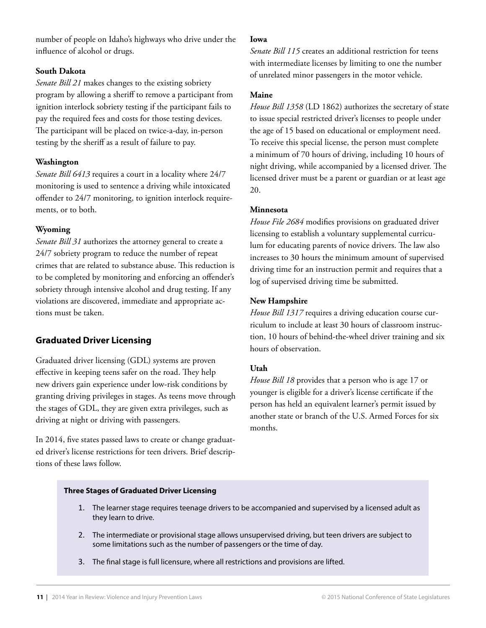number of people on Idaho's highways who drive under the influence of alcohol or drugs.

#### **South Dakota**

*Senate Bill 21* makes changes to the existing sobriety program by allowing a sheriff to remove a participant from ignition interlock sobriety testing if the participant fails to pay the required fees and costs for those testing devices. The participant will be placed on twice-a-day, in-person testing by the sheriff as a result of failure to pay.

#### **Washington**

*Senate Bill 6413* requires a court in a locality where 24/7 monitoring is used to sentence a driving while intoxicated offender to 24/7 monitoring, to ignition interlock requirements, or to both.

#### **Wyoming**

*Senate Bill 31* authorizes the attorney general to create a 24/7 sobriety program to reduce the number of repeat crimes that are related to substance abuse. This reduction is to be completed by monitoring and enforcing an offender's sobriety through intensive alcohol and drug testing. If any violations are discovered, immediate and appropriate actions must be taken.

#### **[Graduated Driver Licensing](http://www.cdc.gov/motorvehiclesafety/teen_drivers/index.html)**

Graduated driver licensing (GDL) systems are proven effective in keeping teens safer on the road. They help new drivers gain experience under low-risk conditions by granting driving privileges in stages. As teens move through the stages of GDL, they are given extra privileges, such as driving at night or driving with passengers.

In 2014, five states passed laws to create or change graduated driver's license restrictions for teen drivers. Brief descriptions of these laws follow.

#### **Iowa**

*Senate Bill 115* creates an additional restriction for teens with intermediate licenses by limiting to one the number of unrelated minor passengers in the motor vehicle.

#### **Maine**

*House Bill 1358* (LD 1862) authorizes the secretary of state to issue special restricted driver's licenses to people under the age of 15 based on educational or employment need. To receive this special license, the person must complete a minimum of 70 hours of driving, including 10 hours of night driving, while accompanied by a licensed driver. The licensed driver must be a parent or guardian or at least age 20.

#### **Minnesota**

*House File 2684* modifies provisions on graduated driver licensing to establish a voluntary supplemental curriculum for educating parents of novice drivers. The law also increases to 30 hours the minimum amount of supervised driving time for an instruction permit and requires that a log of supervised driving time be submitted.

#### **New Hampshire**

*House Bill 1317* requires a driving education course curriculum to include at least 30 hours of classroom instruction, 10 hours of behind-the-wheel driver training and six hours of observation.

#### **Utah**

*House Bill 18* provides that a person who is age 17 or younger is eligible for a driver's license certificate if the person has held an equivalent learner's permit issued by another state or branch of the U.S. Armed Forces for six months.

#### **Three Stages of Graduated Driver Licensing**

- 1. The learner stage requires teenage drivers to be accompanied and supervised by a licensed adult as they learn to drive.
- 2. The intermediate or provisional stage allows unsupervised driving, but teen drivers are subject to some limitations such as the number of passengers or the time of day.
- 3. The final stage is full licensure, where all restrictions and provisions are lifted.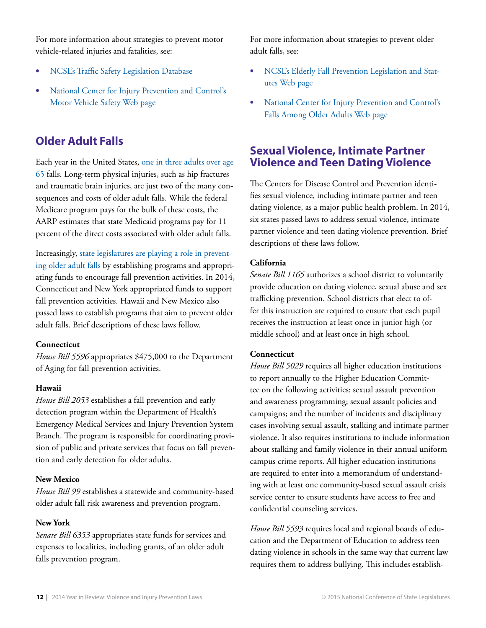For more information about strategies to prevent motor vehicle-related injuries and fatalities, see:

- **[NCSL's Traffic Safety Legislation Database](http://www.ncsl.org/Default.aspx?TabId=13599)**
- National Center for Injury Prevention and Control's [Motor Vehicle Safety Web page](http://www.cdc.gov/motorvehiclesafety/)

## **Older Adult Falls**

Each year in the United States, [one in three adults over age](http://www.cdc.gov/homeandrecreationalsafety/falls/adultfalls.html)  [65](http://www.cdc.gov/homeandrecreationalsafety/falls/adultfalls.html) falls. Long-term physical injuries, such as hip fractures and traumatic brain injuries, are just two of the many consequences and costs of older adult falls. While the federal Medicare program pays for the bulk of these costs, the AARP estimates that state Medicaid programs pay for 11 percent of the direct costs associated with older adult falls.

Increasingly, [state legislatures are playing a role in prevent](http://www.ncsl.org/Default.aspx?tabid=13854)[ing older adult falls](http://www.ncsl.org/Default.aspx?tabid=13854) by establishing programs and appropriating funds to encourage fall prevention activities. In 2014, Connecticut and New York appropriated funds to support fall prevention activities. Hawaii and New Mexico also passed laws to establish programs that aim to prevent older adult falls. Brief descriptions of these laws follow.

#### **Connecticut**

*House Bill 5596* appropriates \$475,000 to the Department of Aging for fall prevention activities.

#### **Hawaii**

*House Bill 2053* establishes a fall prevention and early detection program within the Department of Health's Emergency Medical Services and Injury Prevention System Branch. The program is responsible for coordinating provision of public and private services that focus on fall prevention and early detection for older adults.

#### **New Mexico**

*House Bill 99* establishes a statewide and community-based older adult fall risk awareness and prevention program.

#### **New York**

*Senate Bill 6353* appropriates state funds for services and expenses to localities, including grants, of an older adult falls prevention program.

For more information about strategies to prevent older adult falls, see:

- **[NCSL's Elderly Fall Prevention Legislation and Stat](http://www.ncsl.org/Default.aspx?TabId=13854)**[utes Web page](http://www.ncsl.org/Default.aspx?TabId=13854)
- National Center for Injury Prevention and Control's [Falls Among Older Adults Web page](http://www.cdc.gov/homeandrecreationalsafety/falls/adultfalls.html)

## **Sexual Violence, Intimate Partner Violence and Teen Dating Violence**

The Centers for Disease Control and Prevention identifies sexual violence, including intimate partner and teen dating violence, as a major public health problem. In 2014, six states passed laws to address sexual violence, intimate partner violence and teen dating violence prevention. Brief descriptions of these laws follow.

#### **California**

*Senate Bill 1165* authorizes a school district to voluntarily provide education on dating violence, sexual abuse and sex trafficking prevention. School districts that elect to offer this instruction are required to ensure that each pupil receives the instruction at least once in junior high (or middle school) and at least once in high school.

#### **Connecticut**

*House Bill 5029* requires all higher education institutions to report annually to the Higher Education Committee on the following activities: sexual assault prevention and awareness programming; sexual assault policies and campaigns; and the number of incidents and disciplinary cases involving sexual assault, stalking and intimate partner violence. It also requires institutions to include information about stalking and family violence in their annual uniform campus crime reports. All higher education institutions are required to enter into a memorandum of understanding with at least one community-based sexual assault crisis service center to ensure students have access to free and confidential counseling services.

*House Bill 5593* requires local and regional boards of education and the Department of Education to address teen dating violence in schools in the same way that current law requires them to address bullying. This includes establish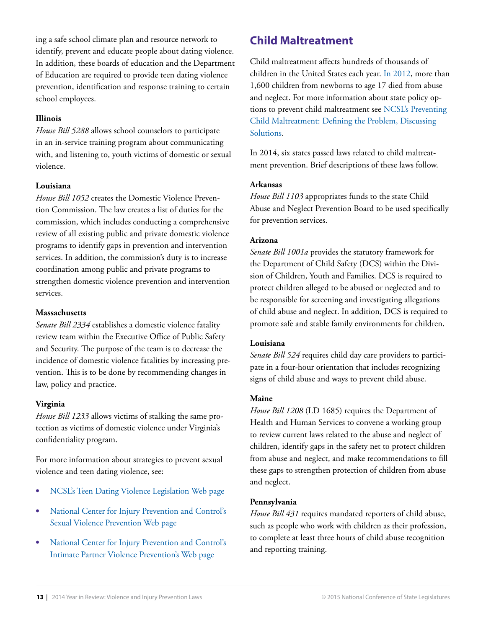ing a safe school climate plan and resource network to identify, prevent and educate people about dating violence. In addition, these boards of education and the Department of Education are required to provide teen dating violence prevention, identification and response training to certain school employees.

#### **Illinois**

*House Bill 5288* allows school counselors to participate in an in-service training program about communicating with, and listening to, youth victims of domestic or sexual violence.

#### **Louisiana**

*House Bill 1052* creates the Domestic Violence Prevention Commission. The law creates a list of duties for the commission, which includes conducting a comprehensive review of all existing public and private domestic violence programs to identify gaps in prevention and intervention services. In addition, the commission's duty is to increase coordination among public and private programs to strengthen domestic violence prevention and intervention services.

#### **Massachusetts**

*Senate Bill 2334* establishes a domestic violence fatality review team within the Executive Office of Public Safety and Security. The purpose of the team is to decrease the incidence of domestic violence fatalities by increasing prevention. This is to be done by recommending changes in law, policy and practice.

#### **Virginia**

*House Bill 1233* allows victims of stalking the same protection as victims of domestic violence under Virginia's confidentiality program.

For more information about strategies to prevent sexual violence and teen dating violence, see:

- **•**  [NCSL's Teen Dating Violence Legislation Web page](http://www.ncsl.org/Default.aspx?TabId=17582)
- **•**  [National Center for Injury Prevention and Control's](http://www.cdc.gov/violenceprevention/sexualviolence/index.html)  [Sexual Violence Prevention Web page](http://www.cdc.gov/violenceprevention/sexualviolence/index.html)
- **•**  [National Center for Injury Prevention and Control's](http://www.cdc.gov/violenceprevention/intimatepartnerviolence/index.html)  [Intimate Partner Violence Prevention's Web page](http://www.cdc.gov/violenceprevention/intimatepartnerviolence/index.html)

## **Child Maltreatment**

Child maltreatment affects hundreds of thousands of children in the United States each year. [In 2012](http://www.acf.hhs.gov/sites/default/files/cb/cm2012.pdf), more than 1,600 children from newborns to age 17 died from abuse and neglect. For more information about state policy options to prevent child maltreatment see [NCSL's Preventing](http://www.ncsl.org/Default.aspx?tabid=28501)  [Child Maltreatment: Defining the Problem, Discussing](http://www.ncsl.org/Default.aspx?tabid=28501)  **Solutions** 

In 2014, six states passed laws related to child maltreatment prevention. Brief descriptions of these laws follow.

#### **Arkansas**

*House Bill 1103* appropriates funds to the state Child Abuse and Neglect Prevention Board to be used specifically for prevention services.

#### **Arizona**

*Senate Bill 1001a* provides the statutory framework for the Department of Child Safety (DCS) within the Division of Children, Youth and Families. DCS is required to protect children alleged to be abused or neglected and to be responsible for screening and investigating allegations of child abuse and neglect. In addition, DCS is required to promote safe and stable family environments for children.

#### **Louisiana**

*Senate Bill 524* requires child day care providers to participate in a four-hour orientation that includes recognizing signs of child abuse and ways to prevent child abuse.

#### **Maine**

*House Bill 1208* (LD 1685) requires the Department of Health and Human Services to convene a working group to review current laws related to the abuse and neglect of children, identify gaps in the safety net to protect children from abuse and neglect, and make recommendations to fill these gaps to strengthen protection of children from abuse and neglect.

#### **Pennsylvania**

*House Bill 431* requires mandated reporters of child abuse, such as people who work with children as their profession, to complete at least three hours of child abuse recognition and reporting training.